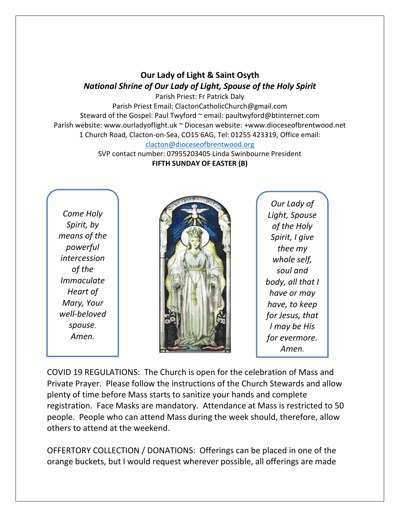## **Our Lady of Light & Saint Osyth** *National Shrine of Our Lady of Light, Spouse of the Holy Spirit*

Parish Priest: Fr Patrick Daly Parish Priest Email: ClactonCatholicChurch@gmail.com Steward of the Gospel: Paul Twyford ~ email: paultwyford@btinternet.com Parish website: www.ourladyoflight.uk ~ Diocesan website: +www.dioceseofbrentwood.net 1 Church Road, Clacton-on-Sea, CO15 6AG, Tel: 01255 423319, Office email: [clacton@dioceseofbrentwood.org](mailto:clacton@dioceseofbrentwood.org)

> SVP contact number: 07955203405 Linda Swinbourne President **FIFTH SUNDAY OF EASTER (B)**

*Come Holy Spirit, by means of the powerful intercession of the Immaculate Heart of Mary, Your well-beloved spouse. Amen.*



*Our Lady of Light, Spouse of the Holy Spirit, I give thee my whole self, soul and body, all that I have or may have, to keep for Jesus, that I may be His for evermore. Amen.*

COVID 19 REGULATIONS: The Church is open for the celebration of Mass and Private Prayer. Please follow the instructions of the Church Stewards and allow plenty of time before Mass starts to sanitize your hands and complete registration. Face Masks are mandatory. Attendance at Mass is restricted to 50 people. People who can attend Mass during the week should, therefore, allow others to attend at the weekend.

OFFERTORY COLLECTION / DONATIONS: Offerings can be placed in one of the orange buckets, but I would request wherever possible, all offerings are made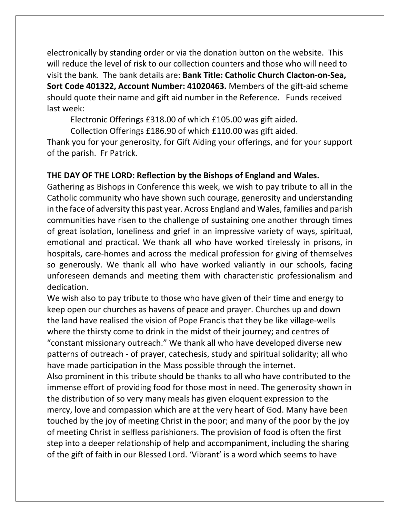electronically by standing order or via the donation button on the website. This will reduce the level of risk to our collection counters and those who will need to visit the bank. The bank details are: **Bank Title: Catholic Church Clacton-on-Sea, Sort Code 401322, Account Number: 41020463.** Members of the gift-aid scheme should quote their name and gift aid number in the Reference. Funds received last week:

Electronic Offerings £318.00 of which £105.00 was gift aided.

Collection Offerings £186.90 of which £110.00 was gift aided.

Thank you for your generosity, for Gift Aiding your offerings, and for your support of the parish. Fr Patrick.

## **THE DAY OF THE LORD: Reflection by the Bishops of England and Wales.**

Gathering as Bishops in Conference this week, we wish to pay tribute to all in the Catholic community who have shown such courage, generosity and understanding in the face of adversity this past year. Across England and Wales, families and parish communities have risen to the challenge of sustaining one another through times of great isolation, loneliness and grief in an impressive variety of ways, spiritual, emotional and practical. We thank all who have worked tirelessly in prisons, in hospitals, care-homes and across the medical profession for giving of themselves so generously. We thank all who have worked valiantly in our schools, facing unforeseen demands and meeting them with characteristic professionalism and dedication.

We wish also to pay tribute to those who have given of their time and energy to keep open our churches as havens of peace and prayer. Churches up and down the land have realised the vision of Pope Francis that they be like village-wells where the thirsty come to drink in the midst of their journey; and centres of "constant missionary outreach." We thank all who have developed diverse new patterns of outreach - of prayer, catechesis, study and spiritual solidarity; all who have made participation in the Mass possible through the internet.

Also prominent in this tribute should be thanks to all who have contributed to the immense effort of providing food for those most in need. The generosity shown in the distribution of so very many meals has given eloquent expression to the mercy, love and compassion which are at the very heart of God. Many have been touched by the joy of meeting Christ in the poor; and many of the poor by the joy of meeting Christ in selfless parishioners. The provision of food is often the first step into a deeper relationship of help and accompaniment, including the sharing of the gift of faith in our Blessed Lord. 'Vibrant' is a word which seems to have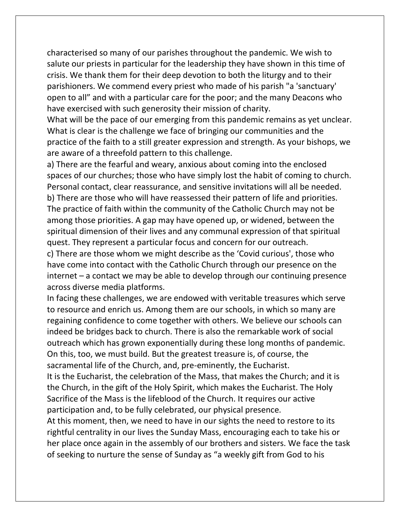characterised so many of our parishes throughout the pandemic. We wish to salute our priests in particular for the leadership they have shown in this time of crisis. We thank them for their deep devotion to both the liturgy and to their parishioners. We commend every priest who made of his parish "a 'sanctuary' open to all" and with a particular care for the poor; and the many Deacons who have exercised with such generosity their mission of charity.

What will be the pace of our emerging from this pandemic remains as yet unclear. What is clear is the challenge we face of bringing our communities and the practice of the faith to a still greater expression and strength. As your bishops, we are aware of a threefold pattern to this challenge.

a) There are the fearful and weary, anxious about coming into the enclosed spaces of our churches; those who have simply lost the habit of coming to church. Personal contact, clear reassurance, and sensitive invitations will all be needed. b) There are those who will have reassessed their pattern of life and priorities. The practice of faith within the community of the Catholic Church may not be among those priorities. A gap may have opened up, or widened, between the spiritual dimension of their lives and any communal expression of that spiritual quest. They represent a particular focus and concern for our outreach.

c) There are those whom we might describe as the 'Covid curious', those who have come into contact with the Catholic Church through our presence on the internet – a contact we may be able to develop through our continuing presence across diverse media platforms.

In facing these challenges, we are endowed with veritable treasures which serve to resource and enrich us. Among them are our schools, in which so many are regaining confidence to come together with others. We believe our schools can indeed be bridges back to church. There is also the remarkable work of social outreach which has grown exponentially during these long months of pandemic. On this, too, we must build. But the greatest treasure is, of course, the sacramental life of the Church, and, pre-eminently, the Eucharist.

It is the Eucharist, the celebration of the Mass, that makes the Church; and it is the Church, in the gift of the Holy Spirit, which makes the Eucharist. The Holy Sacrifice of the Mass is the lifeblood of the Church. It requires our active participation and, to be fully celebrated, our physical presence.

At this moment, then, we need to have in our sights the need to restore to its rightful centrality in our lives the Sunday Mass, encouraging each to take his or her place once again in the assembly of our brothers and sisters. We face the task of seeking to nurture the sense of Sunday as "a weekly gift from God to his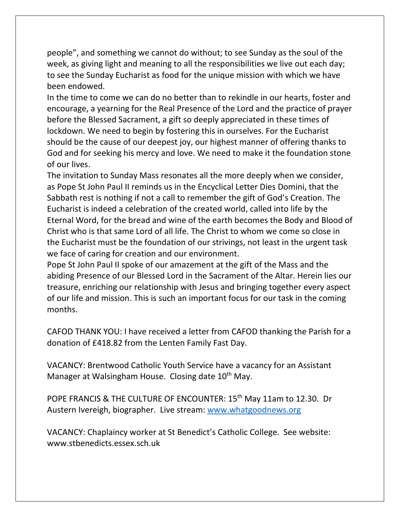people", and something we cannot do without; to see Sunday as the soul of the week, as giving light and meaning to all the responsibilities we live out each day; to see the Sunday Eucharist as food for the unique mission with which we have been endowed.

In the time to come we can do no better than to rekindle in our hearts, foster and encourage, a yearning for the Real Presence of the Lord and the practice of prayer before the Blessed Sacrament, a gift so deeply appreciated in these times of lockdown. We need to begin by fostering this in ourselves. For the Eucharist should be the cause of our deepest joy, our highest manner of offering thanks to God and for seeking his mercy and love. We need to make it the foundation stone of our lives.

The invitation to Sunday Mass resonates all the more deeply when we consider, as Pope St John Paul II reminds us in the Encyclical Letter Dies Domini, that the Sabbath rest is nothing if not a call to remember the gift of God's Creation. The Eucharist is indeed a celebration of the created world, called into life by the Eternal Word, for the bread and wine of the earth becomes the Body and Blood of Christ who is that same Lord of all life. The Christ to whom we come so close in the Eucharist must be the foundation of our strivings, not least in the urgent task we face of caring for creation and our environment.

Pope St John Paul II spoke of our amazement at the gift of the Mass and the abiding Presence of our Blessed Lord in the Sacrament of the Altar. Herein lies our treasure, enriching our relationship with Jesus and bringing together every aspect of our life and mission. This is such an important focus for our task in the coming months.

CAFOD THANK YOU: I have received a letter from CAFOD thanking the Parish for a donation of £418.82 from the Lenten Family Fast Day.

VACANCY: Brentwood Catholic Youth Service have a vacancy for an Assistant Manager at Walsingham House. Closing date 10<sup>th</sup> May.

POPE FRANCIS & THE CULTURE OF ENCOUNTER: 15<sup>th</sup> May 11am to 12.30. Dr Austern Ivereigh, biographer. Live stream: [www.whatgoodnews.org](http://www.whatgoodnews.org/)

VACANCY: Chaplaincy worker at St Benedict's Catholic College. See website: www.stbenedicts.essex.sch.uk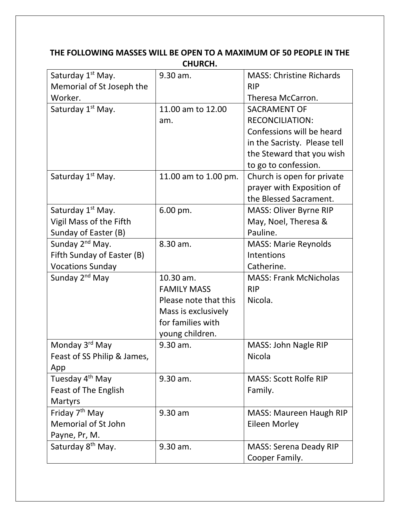| LNUNLN.                       |                       |                                 |  |
|-------------------------------|-----------------------|---------------------------------|--|
| Saturday 1 <sup>st</sup> May. | 9.30 am.              | <b>MASS: Christine Richards</b> |  |
| Memorial of St Joseph the     |                       | <b>RIP</b>                      |  |
| Worker.                       |                       | Theresa McCarron.               |  |
| Saturday 1 <sup>st</sup> May. | 11.00 am to 12.00     | <b>SACRAMENT OF</b>             |  |
|                               | am.                   | <b>RECONCILIATION:</b>          |  |
|                               |                       | Confessions will be heard       |  |
|                               |                       | in the Sacristy. Please tell    |  |
|                               |                       | the Steward that you wish       |  |
|                               |                       | to go to confession.            |  |
| Saturday 1 <sup>st</sup> May. | 11.00 am to 1.00 pm.  | Church is open for private      |  |
|                               |                       | prayer with Exposition of       |  |
|                               |                       | the Blessed Sacrament.          |  |
| Saturday 1 <sup>st</sup> May. | 6.00 pm.              | <b>MASS: Oliver Byrne RIP</b>   |  |
| Vigil Mass of the Fifth       |                       | May, Noel, Theresa &            |  |
| Sunday of Easter (B)          |                       | Pauline.                        |  |
| Sunday 2 <sup>nd</sup> May.   | 8.30 am.              | <b>MASS: Marie Reynolds</b>     |  |
| Fifth Sunday of Easter (B)    |                       | Intentions                      |  |
| <b>Vocations Sunday</b>       |                       | Catherine.                      |  |
| Sunday 2 <sup>nd</sup> May    | 10.30 am.             | <b>MASS: Frank McNicholas</b>   |  |
|                               | <b>FAMILY MASS</b>    | <b>RIP</b>                      |  |
|                               | Please note that this | Nicola.                         |  |
|                               | Mass is exclusively   |                                 |  |
|                               | for families with     |                                 |  |
|                               | young children.       |                                 |  |
| Monday 3 <sup>rd</sup> May    | 9.30 am.              | MASS: John Nagle RIP            |  |
| Feast of SS Philip & James,   |                       | Nicola                          |  |
| App                           |                       |                                 |  |
| Tuesday 4 <sup>th</sup> May   | 9.30 am.              | <b>MASS: Scott Rolfe RIP</b>    |  |
| <b>Feast of The English</b>   |                       | Family.                         |  |
| <b>Martyrs</b>                |                       |                                 |  |
| Friday 7 <sup>th</sup> May    | 9.30 am               | <b>MASS: Maureen Haugh RIP</b>  |  |
| <b>Memorial of St John</b>    |                       | <b>Eileen Morley</b>            |  |
| Payne, Pr, M.                 |                       |                                 |  |
| Saturday 8 <sup>th</sup> May. | 9.30 am.              | <b>MASS: Serena Deady RIP</b>   |  |
|                               |                       | Cooper Family.                  |  |

## **THE FOLLOWING MASSES WILL BE OPEN TO A MAXIMUM OF 50 PEOPLE IN THE CHURCH.**